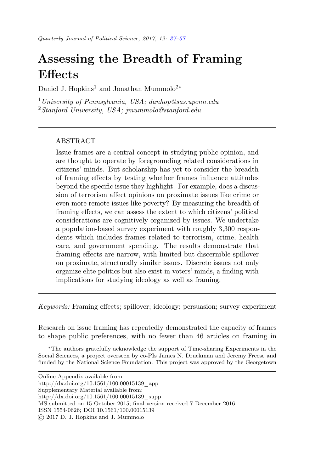# <span id="page-0-0"></span>Assessing the Breadth of Framing Effects

Daniel J. Hopkins<sup>1</sup> and Jonathan Mummolo<sup>2</sup><sup>∗</sup>

 $1$ University of Pennsylvania, USA; danhop@sas.upenn.edu  $2$ Stanford University, USA; jmummolo@stanford.edu

### ABSTRACT

Issue frames are a central concept in studying public opinion, and are thought to operate by foregrounding related considerations in citizens' minds. But scholarship has yet to consider the breadth of framing effects by testing whether frames influence attitudes beyond the specific issue they highlight. For example, does a discussion of terrorism affect opinions on proximate issues like crime or even more remote issues like poverty? By measuring the breadth of framing effects, we can assess the extent to which citizens' political considerations are cognitively organized by issues. We undertake a population-based survey experiment with roughly 3,300 respondents which includes frames related to terrorism, crime, health care, and government spending. The results demonstrate that framing effects are narrow, with limited but discernible spillover on proximate, structurally similar issues. Discrete issues not only organize elite politics but also exist in voters' minds, a finding with implications for studying ideology as well as framing.

Keywords: Framing effects; spillover; ideology; persuasion; survey experiment

Research on issue framing has repeatedly demonstrated the capacity of frames to shape public preferences, with no fewer than 46 articles on framing in

<sup>∗</sup>The authors gratefully acknowledge the support of Time-sharing Experiments in the Social Sciences, a project overseen by co-PIs James N. Druckman and Jeremy Freese and funded by the National Science Foundation. This project was approved by the Georgetown

Online Appendix available from:

http://dx.doi.org/10.1561/100.00015139\_app

Supplementary Material available from:

http://dx.doi.org/10.1561/100.00015139\_supp

MS submitted on 15 October 2015; final version received 7 December 2016

ISSN 1554-0626; DOI 10.1561/100.00015139

<sup>©</sup> 2017 D. J. Hopkins and J. Mummolo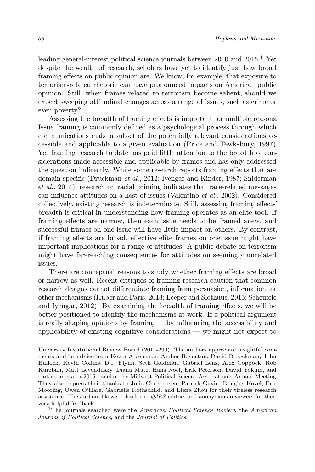leading general-interest political science journals between 20[1](#page-1-0)0 and  $2015<sup>1</sup>$  Yet despite the wealth of research, scholars have yet to identify just how broad framing effects on public opinion are. We know, for example, that exposure to terrorism-related rhetoric can have pronounced impacts on American public opinion. Still, when frames related to terrorism become salient, should we expect sweeping attitudinal changes across a range of issues, such as crime or even poverty?

Assessing the breadth of framing effects is important for multiple reasons. Issue framing is commonly defined as a psychological process through which communications make a subset of the potentially relevant considerations accessible and applicable to a given evaluation (Price and Tewksbury, 1997). Yet framing research to date has paid little attention to the breadth of considerations made accessible and applicable by frames and has only addressed the question indirectly. While some research reports framing effects that are domain-specific (Druckman et al., 2012; Iyengar and Kinder, 1987; Sniderman et al., 2014), research on racial priming indicates that race-related messages can influence attitudes on a host of issues (Valentino et al., 2002). Considered collectively, existing research is indeterminate. Still, assessing framing effects' breadth is critical in understanding how framing operates as an elite tool. If framing effects are narrow, then each issue needs to be framed anew, and successful frames on one issue will have little impact on others. By contrast, if framing effects are broad, effective elite frames on one issue might have important implications for a range of attitudes. A public debate on terrorism might have far-reaching consequences for attitudes on seemingly unrelated issues.

There are conceptual reasons to study whether framing effects are broad or narrow as well. Recent critiques of framing research caution that common research designs cannot differentiate framing from persuasion, information, or other mechanisms (Huber and Paris, 2013; Leeper and Slothuus, 2015; Scheufele and Iyengar, 2012). By examining the breadth of framing effects, we will be better positioned to identify the mechanisms at work. If a political argument is really shaping opinions by framing — by influencing the accessibility and applicability of existing cognitive considerations — we might not expect to

<span id="page-1-0"></span><sup>1</sup>The journals searched were the American Political Science Review, the American Journal of Political Science, and the Journal of Politics.

University Institutional Review Board (2011-299). The authors appreciate insightful comments and/or advice from Kevin Arceneaux, Amber Boydstun, David Broockman, John Bullock, Kevin Collins, D.J. Flynn, Seth Goldman, Gabriel Lenz, Alex Coppock, Rob Kurzban, Matt Levendusky, Diana Mutz, Hans Noel, Erik Peterson, David Yokum, and participants at a 2015 panel of the Midwest Political Science Association's Annual Meeting. They also express their thanks to Julia Christensen, Patrick Gavin, Douglas Kovel, Eric Mooring, Owen O'Hare, Gabrielle Rothschild, and Elena Zhou for their tireless research assistance. The authors likewise thank the QJPS editors and anonymous reviewers for their very helpful feedback.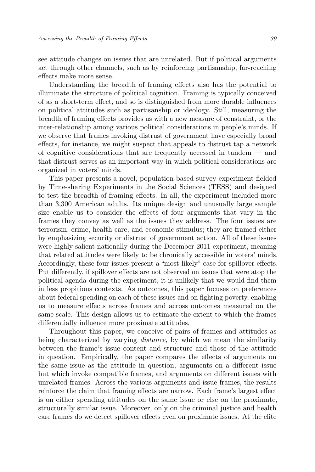see attitude changes on issues that are unrelated. But if political arguments act through other channels, such as by reinforcing partisanship, far-reaching effects make more sense.

Understanding the breadth of framing effects also has the potential to illuminate the structure of political cognition. Framing is typically conceived of as a short-term effect, and so is distinguished from more durable influences on political attitudes such as partisanship or ideology. Still, measuring the breadth of framing effects provides us with a new measure of constraint, or the inter-relationship among various political considerations in people's minds. If we observe that frames invoking distrust of government have especially broad effects, for instance, we might suspect that appeals to distrust tap a network of cognitive considerations that are frequently accessed in tandem — and that distrust serves as an important way in which political considerations are organized in voters' minds.

This paper presents a novel, population-based survey experiment fielded by Time-sharing Experiments in the Social Sciences (TESS) and designed to test the breadth of framing effects. In all, the experiment included more than 3,300 American adults. Its unique design and unusually large sample size enable us to consider the effects of four arguments that vary in the frames they convey as well as the issues they address. The four issues are terrorism, crime, health care, and economic stimulus; they are framed either by emphasizing security or distrust of government action. All of these issues were highly salient nationally during the December 2011 experiment, meaning that related attitudes were likely to be chronically accessible in voters' minds. Accordingly, these four issues present a "most likely" case for spillover effects. Put differently, if spillover effects are not observed on issues that were atop the political agenda during the experiment, it is unlikely that we would find them in less propitious contexts. As outcomes, this paper focuses on preferences about federal spending on each of these issues and on fighting poverty, enabling us to measure effects across frames and across outcomes measured on the same scale. This design allows us to estimate the extent to which the frames differentially influence more proximate attitudes.

Throughout this paper, we conceive of pairs of frames and attitudes as being characterized by varying distance, by which we mean the similarity between the frame's issue content and structure and those of the attitude in question. Empirically, the paper compares the effects of arguments on the same issue as the attitude in question, arguments on a different issue but which invoke compatible frames, and arguments on different issues with unrelated frames. Across the various arguments and issue frames, the results reinforce the claim that framing effects are narrow. Each frame's largest effect is on either spending attitudes on the same issue or else on the proximate, structurally similar issue. Moreover, only on the criminal justice and health care frames do we detect spillover effects even on proximate issues. At the elite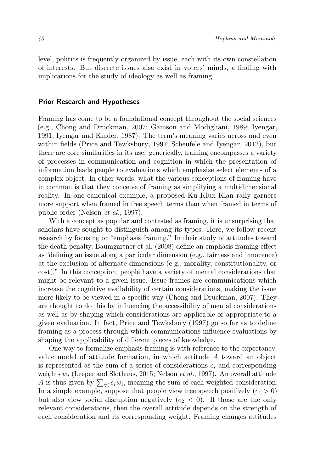level, politics is frequently organized by issue, each with its own constellation of interests. But discrete issues also exist in voters' minds, a finding with implications for the study of ideology as well as framing.

### Prior Research and Hypotheses

Framing has come to be a foundational concept throughout the social sciences (e.g., Chong and Druckman, 2007; Gamson and Modigliani, 1989; Iyengar, 1991; Iyengar and Kinder, 1987). The term's meaning varies across and even within fields (Price and Tewksbury, 1997; Scheufele and Iyengar, 2012), but there are core similarities in its use: generically, framing encompasses a variety of processes in communication and cognition in which the presentation of information leads people to evaluations which emphasize select elements of a complex object. In other words, what the various conceptions of framing have in common is that they conceive of framing as simplifying a multidimensional reality. In one canonical example, a proposed Ku Klux Klan rally garners more support when framed in free speech terms than when framed in terms of public order (Nelson et al., 1997).

With a concept as popular and contested as framing, it is unsurprising that scholars have sought to distinguish among its types. Here, we follow recent research by focusing on "emphasis framing." In their study of attitudes toward the death penalty, Baumgartner et al. (2008) define an emphasis framing effect as "defining an issue along a particular dimension (e.g., fairness and innocence) at the exclusion of alternate dimensions (e.g., morality, constitutionality, or cost)." In this conception, people have a variety of mental considerations that might be relevant to a given issue. Issue frames are communications which increase the cognitive availability of certain considerations, making the issue more likely to be viewed in a specific way (Chong and Druckman, 2007). They are thought to do this by influencing the accessibility of mental considerations as well as by shaping which considerations are applicable or appropriate to a given evaluation. In fact, Price and Tewksbury (1997) go so far as to define framing as a process through which communications influence evaluations by shaping the applicability of different pieces of knowledge.

One way to formalize emphasis framing is with reference to the expectancyvalue model of attitude formation, in which attitude A toward an object is represented as the sum of a series of considerations  $c_i$  and corresponding weights  $w_i$  (Leeper and Slothuus, 2015; Nelson *et al.*, 1997). An overall attitude A is thus given by  $\sum_{\forall i} c_i w_i$ , meaning the sum of each weighted consideration. In a simple example, suppose that people view free speech positively  $(c_1 > 0)$ but also view social disruption negatively  $(c_2 < 0)$ . If those are the only relevant considerations, then the overall attitude depends on the strength of each consideration and its corresponding weight. Framing changes attitudes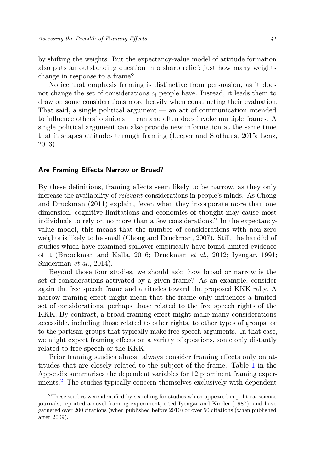by shifting the weights. But the expectancy-value model of attitude formation also puts an outstanding question into sharp relief: just how many weights change in response to a frame?

Notice that emphasis framing is distinctive from persuasion, as it does not change the set of considerations  $c_i$  people have. Instead, it leads them to draw on some considerations more heavily when constructing their evaluation. That said, a single political argument — an act of communication intended to influence others' opinions — can and often does invoke multiple frames. A single political argument can also provide new information at the same time that it shapes attitudes through framing (Leeper and Slothuus, 2015; Lenz, 2013).

#### Are Framing Effects Narrow or Broad?

By these definitions, framing effects seem likely to be narrow, as they only increase the availability of relevant considerations in people's minds. As Chong and Druckman (2011) explain, "even when they incorporate more than one dimension, cognitive limitations and economies of thought may cause most individuals to rely on no more than a few considerations." In the expectancyvalue model, this means that the number of considerations with non-zero weights is likely to be small (Chong and Druckman, 2007). Still, the handful of studies which have examined spillover empirically have found limited evidence of it (Broockman and Kalla, 2016; Druckman et al., 2012; Iyengar, 1991; Sniderman et al., 2014).

Beyond those four studies, we should ask: how broad or narrow is the set of considerations activated by a given frame? As an example, consider again the free speech frame and attitudes toward the proposed KKK rally. A narrow framing effect might mean that the frame only influences a limited set of considerations, perhaps those related to the free speech rights of the KKK. By contrast, a broad framing effect might make many considerations accessible, including those related to other rights, to other types of groups, or to the partisan groups that typically make free speech arguments. In that case, we might expect framing effects on a variety of questions, some only distantly related to free speech or the KKK.

Prior framing studies almost always consider framing effects only on attitudes that are closely related to the subject of the frame. Table [1](#page-13-0) in the Appendix summarizes the dependent variables for 12 prominent framing exper-iments.<sup>[2](#page-4-0)</sup> The studies typically concern themselves exclusively with dependent

<span id="page-4-0"></span><sup>2</sup>These studies were identified by searching for studies which appeared in political science journals, reported a novel framing experiment, cited Iyengar and Kinder (1987), and have garnered over 200 citations (when published before 2010) or over 50 citations (when published after 2009).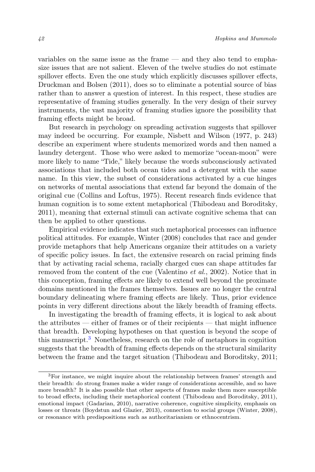variables on the same issue as the frame — and they also tend to emphasize issues that are not salient. Eleven of the twelve studies do not estimate spillover effects. Even the one study which explicitly discusses spillover effects, Druckman and Bolsen (2011), does so to eliminate a potential source of bias rather than to answer a question of interest. In this respect, these studies are representative of framing studies generally. In the very design of their survey instruments, the vast majority of framing studies ignore the possibility that framing effects might be broad.

But research in psychology on spreading activation suggests that spillover may indeed be occurring. For example, Nisbett and Wilson (1977, p. 243) describe an experiment where students memorized words and then named a laundry detergent. Those who were asked to memorize "ocean-moon" were more likely to name "Tide," likely because the words subconsciously activated associations that included both ocean tides and a detergent with the same name. In this view, the subset of considerations activated by a cue hinges on networks of mental associations that extend far beyond the domain of the original cue (Collins and Loftus, 1975). Recent research finds evidence that human cognition is to some extent metaphorical (Thibodeau and Boroditsky, 2011), meaning that external stimuli can activate cognitive schema that can then be applied to other questions.

Empirical evidence indicates that such metaphorical processes can influence political attitudes. For example, Winter (2008) concludes that race and gender provide metaphors that help Americans organize their attitudes on a variety of specific policy issues. In fact, the extensive research on racial priming finds that by activating racial schema, racially charged cues can shape attitudes far removed from the content of the cue (Valentino et al., 2002). Notice that in this conception, framing effects are likely to extend well beyond the proximate domains mentioned in the frames themselves. Issues are no longer the central boundary delineating where framing effects are likely. Thus, prior evidence points in very different directions about the likely breadth of framing effects.

In investigating the breadth of framing effects, it is logical to ask about the attributes — either of frames or of their recipients — that might influence that breadth. Developing hypotheses on that question is beyond the scope of this manuscript.[3](#page-5-0) Nonetheless, research on the role of metaphors in cognition suggests that the breadth of framing effects depends on the structural similarity between the frame and the target situation (Thibodeau and Boroditsky, 2011;

<span id="page-5-0"></span><sup>3</sup>For instance, we might inquire about the relationship between frames' strength and their breadth: do strong frames make a wider range of considerations accessible, and so have more breadth? It is also possible that other aspects of frames make them more susceptible to broad effects, including their metaphorical content (Thibodeau and Boroditsky, 2011), emotional impact (Gadarian, 2010), narrative coherence, cognitive simplicity, emphasis on losses or threats (Boydstun and Glazier, 2013), connection to social groups (Winter, 2008), or resonance with predispositions such as authoritarianism or ethnocentrism.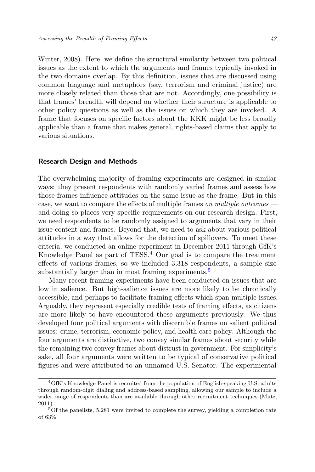Winter, 2008). Here, we define the structural similarity between two political issues as the extent to which the arguments and frames typically invoked in the two domains overlap. By this definition, issues that are discussed using common language and metaphors (say, terrorism and criminal justice) are more closely related than those that are not. Accordingly, one possibility is that frames' breadth will depend on whether their structure is applicable to other policy questions as well as the issues on which they are invoked. A frame that focuses on specific factors about the KKK might be less broadly applicable than a frame that makes general, rights-based claims that apply to various situations.

### Research Design and Methods

The overwhelming majority of framing experiments are designed in similar ways: they present respondents with randomly varied frames and assess how those frames influence attitudes on the same issue as the frame. But in this case, we want to compare the effects of multiple frames on multiple outcomes and doing so places very specific requirements on our research design. First, we need respondents to be randomly assigned to arguments that vary in their issue content and frames. Beyond that, we need to ask about various political attitudes in a way that allows for the detection of spillovers. To meet these criteria, we conducted an online experiment in December 2011 through GfK's Knowledge Panel as part of TESS.<sup>[4](#page-6-0)</sup> Our goal is to compare the treatment effects of various frames, so we included 3,318 respondents, a sample size substantially larger than in most framing experiments.<sup>[5](#page-6-1)</sup>

Many recent framing experiments have been conducted on issues that are low in salience. But high-salience issues are more likely to be chronically accessible, and perhaps to facilitate framing effects which span multiple issues. Arguably, they represent especially credible tests of framing effects, as citizens are more likely to have encountered these arguments previously. We thus developed four political arguments with discernible frames on salient political issues: crime, terrorism, economic policy, and health care policy. Although the four arguments are distinctive, two convey similar frames about security while the remaining two convey frames about distrust in government. For simplicity's sake, all four arguments were written to be typical of conservative political figures and were attributed to an unnamed U.S. Senator. The experimental

<span id="page-6-0"></span><sup>4</sup>GfK's Knowledge Panel is recruited from the population of English-speaking U.S. adults through random-digit dialing and address-based sampling, allowing our sample to include a wider range of respondents than are available through other recruitment techniques (Mutz, 2011).

<span id="page-6-1"></span><sup>5</sup>Of the panelists, 5,281 were invited to complete the survey, yielding a completion rate of 63%.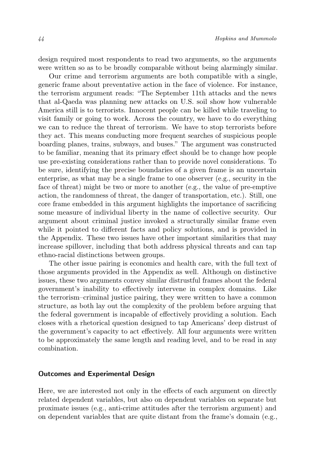design required most respondents to read two arguments, so the arguments were written so as to be broadly comparable without being alarmingly similar.

Our crime and terrorism arguments are both compatible with a single, generic frame about preventative action in the face of violence. For instance, the terrorism argument reads: "The September 11th attacks and the news that al-Qaeda was planning new attacks on U.S. soil show how vulnerable America still is to terrorists. Innocent people can be killed while traveling to visit family or going to work. Across the country, we have to do everything we can to reduce the threat of terrorism. We have to stop terrorists before they act. This means conducting more frequent searches of suspicious people boarding planes, trains, subways, and buses." The argument was constructed to be familiar, meaning that its primary effect should be to change how people use pre-existing considerations rather than to provide novel considerations. To be sure, identifying the precise boundaries of a given frame is an uncertain enterprise, as what may be a single frame to one observer (e.g., security in the face of threat) might be two or more to another (e.g., the value of pre-emptive action, the randomness of threat, the danger of transportation, etc.). Still, one core frame embedded in this argument highlights the importance of sacrificing some measure of individual liberty in the name of collective security. Our argument about criminal justice invoked a structurally similar frame even while it pointed to different facts and policy solutions, and is provided in the Appendix. These two issues have other important similarities that may increase spillover, including that both address physical threats and can tap ethno-racial distinctions between groups.

The other issue pairing is economics and health care, with the full text of those arguments provided in the Appendix as well. Although on distinctive issues, these two arguments convey similar distrustful frames about the federal government's inability to effectively intervene in complex domains. Like the terrorism–criminal justice pairing, they were written to have a common structure, as both lay out the complexity of the problem before arguing that the federal government is incapable of effectively providing a solution. Each closes with a rhetorical question designed to tap Americans' deep distrust of the government's capacity to act effectively. All four arguments were written to be approximately the same length and reading level, and to be read in any combination.

### Outcomes and Experimental Design

Here, we are interested not only in the effects of each argument on directly related dependent variables, but also on dependent variables on separate but proximate issues (e.g., anti-crime attitudes after the terrorism argument) and on dependent variables that are quite distant from the frame's domain (e.g.,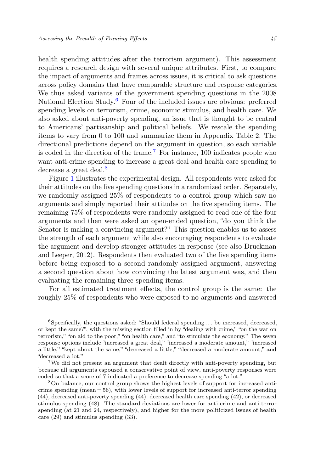health spending attitudes after the terrorism argument). This assessment requires a research design with several unique attributes. First, to compare the impact of arguments and frames across issues, it is critical to ask questions across policy domains that have comparable structure and response categories. We thus asked variants of the government spending questions in the 2008 National Election Study.[6](#page-8-0) Four of the included issues are obvious: preferred spending levels on terrorism, crime, economic stimulus, and health care. We also asked about anti-poverty spending, an issue that is thought to be central to Americans' partisanship and political beliefs. We rescale the spending items to vary from 0 to 100 and summarize them in Appendix Table 2. The directional predictions depend on the argument in question, so each variable is coded in the direction of the frame.[7](#page-8-1) For instance, 100 indicates people who want anti-crime spending to increase a great deal and health care spending to decrease a great deal.<sup>[8](#page-8-2)</sup>

Figure [1](#page-9-0) illustrates the experimental design. All respondents were asked for their attitudes on the five spending questions in a randomized order. Separately, we randomly assigned 25% of respondents to a control group which saw no arguments and simply reported their attitudes on the five spending items. The remaining 75% of respondents were randomly assigned to read one of the four arguments and then were asked an open-ended question, "do you think the Senator is making a convincing argument?" This question enables us to assess the strength of each argument while also encouraging respondents to evaluate the argument and develop stronger attitudes in response (see also Druckman and Leeper, 2012). Respondents then evaluated two of the five spending items before being exposed to a second randomly assigned argument, answering a second question about how convincing the latest argument was, and then evaluating the remaining three spending items.

For all estimated treatment effects, the control group is the same: the roughly 25% of respondents who were exposed to no arguments and answered

<span id="page-8-0"></span> $6$ Specifically, the questions asked: "Should federal spending ... be increased, decreased, or kept the same?", with the missing section filled in by "dealing with crime," "on the war on terrorism," "on aid to the poor," "on health care," and "to stimulate the economy." The seven response options include "increased a great deal," "increased a moderate amount," "increased a little," "kept about the same," "decreased a little," "decreased a moderate amount," and "decreased a lot."

<span id="page-8-1"></span><sup>7</sup>We did not present an argument that dealt directly with anti-poverty spending, but because all arguments espoused a conservative point of view, anti-poverty responses were coded so that a score of 7 indicated a preference to decrease spending "a lot."

<span id="page-8-2"></span><sup>8</sup>On balance, our control group shows the highest levels of support for increased anticrime spending (mean  $= 56$ ), with lower levels of support for increased anti-terror spending (44), decreased anti-poverty spending (44), decreased health care spending (42), or decreased stimulus spending (48). The standard deviations are lower for anti-crime and anti-terror spending (at 21 and 24, respectively), and higher for the more politicized issues of health care (29) and stimulus spending (33).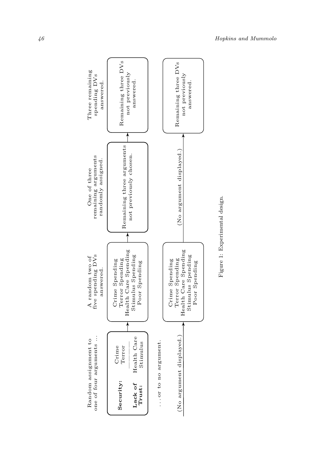<span id="page-9-0"></span>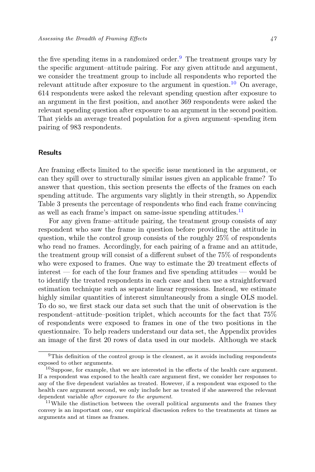the five spending items in a randomized order.<sup>[9](#page-10-0)</sup> The treatment groups vary by the specific argument–attitude pairing. For any given attitude and argument, we consider the treatment group to include all respondents who reported the relevant attitude after exposure to the argument in question.<sup>[10](#page-10-1)</sup> On average, 614 respondents were asked the relevant spending question after exposure to an argument in the first position, and another 369 respondents were asked the relevant spending question after exposure to an argument in the second position. That yields an average treated population for a given argument–spending item pairing of 983 respondents.

### Results

Are framing effects limited to the specific issue mentioned in the argument, or can they spill over to structurally similar issues given an applicable frame? To answer that question, this section presents the effects of the frames on each spending attitude. The arguments vary slightly in their strength, so Appendix Table 3 presents the percentage of respondents who find each frame convincing as well as each frame's impact on same-issue spending attitudes.<sup>[11](#page-10-2)</sup>

For any given frame–attitude pairing, the treatment group consists of any respondent who saw the frame in question before providing the attitude in question, while the control group consists of the roughly 25% of respondents who read no frames. Accordingly, for each pairing of a frame and an attitude, the treatment group will consist of a different subset of the 75% of respondents who were exposed to frames. One way to estimate the 20 treatment effects of interest — for each of the four frames and five spending attitudes — would be to identify the treated respondents in each case and then use a straightforward estimation technique such as separate linear regressions. Instead, we estimate highly similar quantities of interest simultaneously from a single OLS model. To do so, we first stack our data set such that the unit of observation is the respondent–attitude–position triplet, which accounts for the fact that 75% of respondents were exposed to frames in one of the two positions in the questionnaire. To help readers understand our data set, the Appendix provides an image of the first 20 rows of data used in our models. Although we stack

<span id="page-10-0"></span><sup>&</sup>lt;sup>9</sup>This definition of the control group is the cleanest, as it avoids including respondents exposed to other arguments.

<span id="page-10-1"></span> $10$ Suppose, for example, that we are interested in the effects of the health care argument. If a respondent was exposed to the health care argument first, we consider her responses to any of the five dependent variables as treated. However, if a respondent was exposed to the health care argument second, we only include her as treated if she answered the relevant dependent variable after exposure to the argument.

<span id="page-10-2"></span><sup>&</sup>lt;sup>11</sup>While the distinction between the overall political arguments and the frames they convey is an important one, our empirical discussion refers to the treatments at times as arguments and at times as frames.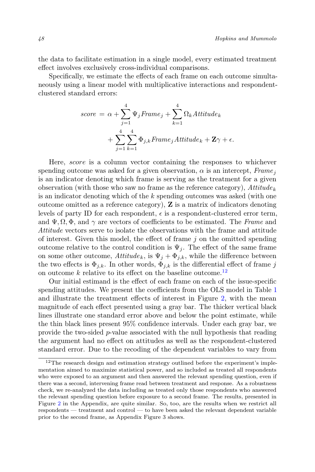the data to facilitate estimation in a single model, every estimated treatment effect involves exclusively cross-individual comparisons.

Specifically, we estimate the effects of each frame on each outcome simultaneously using a linear model with multiplicative interactions and respondentclustered standard errors:

$$
score = \alpha + \sum_{j=1}^{4} \Psi_j Frame_j + \sum_{k=1}^{4} \Omega_k Attitude_k
$$

$$
+ \sum_{j=1}^{4} \sum_{k=1}^{4} \Phi_{j,k} Frame_j Attitude_k + \mathbf{Z}\gamma + \epsilon.
$$

Here, score is a column vector containing the responses to whichever spending outcome was asked for a given observation,  $\alpha$  is an intercept, Frame, is an indicator denoting which frame is serving as the treatment for a given observation (with those who saw no frame as the reference category),  $Attitude_k$ is an indicator denoting which of the  $k$  spending outcomes was asked (with one outcome omitted as a reference category), Z is a matrix of indicators denoting levels of party ID for each respondent,  $\epsilon$  is a respondent-clustered error term, and  $\Psi, \Omega, \Phi$ , and  $\gamma$  are vectors of coefficients to be estimated. The Frame and Attitude vectors serve to isolate the observations with the frame and attitude of interest. Given this model, the effect of frame  $j$  on the omitted spending outcome relative to the control condition is  $\Psi_i$ . The effect of the same frame on some other outcome,  $Attitude_k$ , is  $\Psi_j + \Phi_{j,k}$ , while the difference between the two effects is  $\Phi_{i,k}$ . In other words,  $\Phi_{i,k}$  is the differential effect of frame j on outcome k relative to its effect on the baseline outcome.<sup>[12](#page-11-0)</sup>

Our initial estimand is the effect of each frame on each of the issue-specific spending attitudes. We present the coefficients from the OLS model in Table [1](#page-13-0) and illustrate the treatment effects of interest in Figure [2,](#page-12-0) with the mean magnitude of each effect presented using a gray bar. The thicker vertical black lines illustrate one standard error above and below the point estimate, while the thin black lines present 95% confidence intervals. Under each gray bar, we provide the two-sided p-value associated with the null hypothesis that reading the argument had no effect on attitudes as well as the respondent-clustered standard error. Due to the recoding of the dependent variables to vary from

<span id="page-11-0"></span><sup>&</sup>lt;sup>12</sup>The research design and estimation strategy outlined before the experiment's implementation aimed to maximize statistical power, and so included as treated all respondents who were exposed to an argument and then answered the relevant spending question, even if there was a second, intervening frame read between treatment and response. As a robustness check, we re-analyzed the data including as treated only those respondents who answered the relevant spending question before exposure to a second frame. The results, presented in Figure [2](#page-12-0) in the Appendix, are quite similar. So, too, are the results when we restrict all respondents — treatment and control — to have been asked the relevant dependent variable prior to the second frame, as Appendix Figure 3 shows.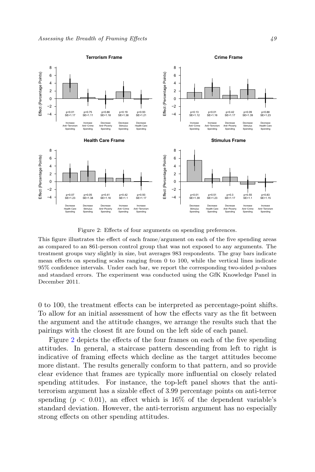<span id="page-12-0"></span>

Figure 2: Effects of four arguments on spending preferences.

This figure illustrates the effect of each frame/argument on each of the five spending areas as compared to an 861-person control group that was not exposed to any arguments. The treatment groups vary slightly in size, but averages 983 respondents. The gray bars indicate mean effects on spending scales ranging from 0 to 100, while the vertical lines indicate 95% confidence intervals. Under each bar, we report the corresponding two-sided p-values and standard errors. The experiment was conducted using the GfK Knowledge Panel in December 2011.

0 to 100, the treatment effects can be interpreted as percentage-point shifts. To allow for an initial assessment of how the effects vary as the fit between the argument and the attitude changes, we arrange the results such that the pairings with the closest fit are found on the left side of each panel.

Figure [2](#page-12-0) depicts the effects of the four frames on each of the five spending attitudes. In general, a staircase pattern descending from left to right is indicative of framing effects which decline as the target attitudes become more distant. The results generally conform to that pattern, and so provide clear evidence that frames are typically more influential on closely related spending attitudes. For instance, the top-left panel shows that the antiterrorism argument has a sizable effect of 3.99 percentage points on anti-terror spending  $(p < 0.01)$ , an effect which is 16% of the dependent variable's standard deviation. However, the anti-terrorism argument has no especially strong effects on other spending attitudes.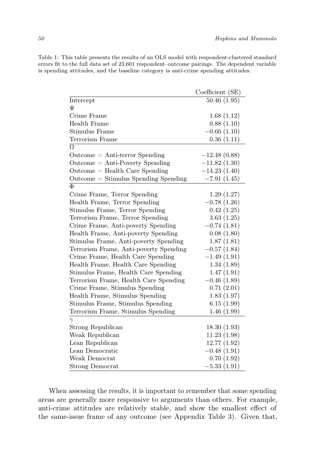|                                                      | Coefficient (SE) |
|------------------------------------------------------|------------------|
| Intercept                                            | 50.46(1.95)      |
| Ψ                                                    |                  |
| Crime Frame                                          | 1.68(1.12)       |
| Health Frame                                         | 0.88(1.10)       |
| Stimulus Frame                                       | $-0.66(1.10)$    |
| Terrorism Frame                                      | 0.36(1.11)       |
| $\Omega$                                             |                  |
| $\text{Outcome} = \text{Anti-terror}$ Spending       | $-12.48(0.88)$   |
| $Outer = Anti-Poverty$ Spending                      | $-11.82(1.30)$   |
| $Outcome = Health Care Spending$                     | $-14.23(1.40)$   |
| $\text{Outcome} = \text{Stimulus}$ Spending Spending | $-7.91(1.45)$    |
| Ф                                                    |                  |
| Crime Frame, Terror Spending                         | 1.29(1.27)       |
| Health Frame, Terror Spending                        | $-0.78(1.26)$    |
| Stimulus Frame, Terror Spending                      | 0.42(1.25)       |
| Terrorism Frame, Terror Spending                     | 3.63(1.25)       |
| Crime Frame, Anti-poverty Spending                   | $-0.74(1.81)$    |
| Health Frame, Anti-poverty Spending                  | 0.08(1.80)       |
| Stimulus Frame, Anti-poverty Spending                | 1.87(1.81)       |
| Terrorism Frame, Anti-poverty Spending               | $-0.57(1.84)$    |
| Crime Frame, Health Care Spending                    | $-1.49(1.91)$    |
| Health Frame, Health Care Spending                   | 1.34(1.89)       |
| Stimulus Frame, Health Care Spending                 | 1.47(1.91)       |
| Terrorism Frame, Health Care Spending                | $-0.46(1.89)$    |
| Crime Frame, Stimulus Spending                       | 0.71(2.01)       |
| Health Frame, Stimulus Spending                      | 1.83(1.97)       |
| Stimulus Frame, Stimulus Spending                    | 6.15(1.99)       |
| Terrorism Frame, Stimulus Spending                   | 1.46(1.99)       |
| $\gamma$                                             |                  |
| Strong Republican                                    | 18.30(1.93)      |
| Weak Republican                                      | 11.23(1.98)      |
| Lean Republican                                      | 12.77(1.92)      |
| Lean Democratic                                      | $-0.48(1.91)$    |
| Weak Democrat                                        | 0.70(1.92)       |
| <b>Strong Democrat</b>                               | $-5.33(1.91)$    |

<span id="page-13-0"></span>Table 1: This table presents the results of an OLS model with respondent-clustered standard errors fit to the full data set of 23,601 respondent–outcome pairings. The dependent variable is spending attitudes, and the baseline category is anti-crime spending attitudes.

When assessing the results, it is important to remember that some spending areas are generally more responsive to arguments than others. For example, anti-crime attitudes are relatively stable, and show the smallest effect of the same-issue frame of any outcome (see Appendix Table 3). Given that,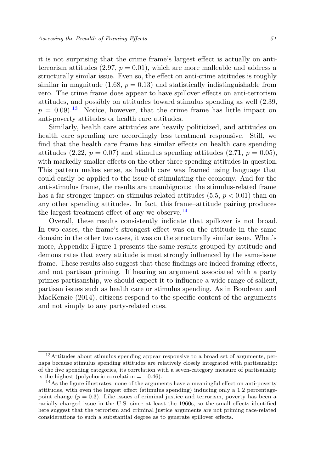it is not surprising that the crime frame's largest effect is actually on antiterrorism attitudes (2.97,  $p = 0.01$ ), which are more malleable and address a structurally similar issue. Even so, the effect on anti-crime attitudes is roughly similar in magnitude (1.68,  $p = 0.13$ ) and statistically indistinguishable from zero. The crime frame does appear to have spillover effects on anti-terrorism attitudes, and possibly on attitudes toward stimulus spending as well (2.39,  $p = 0.09$ .<sup>[13](#page-14-0)</sup> Notice, however, that the crime frame has little impact on anti-poverty attitudes or health care attitudes.

Similarly, health care attitudes are heavily politicized, and attitudes on health care spending are accordingly less treatment responsive. Still, we find that the health care frame has similar effects on health care spending attitudes (2.22,  $p = 0.07$ ) and stimulus spending attitudes (2.71,  $p = 0.05$ ), with markedly smaller effects on the other three spending attitudes in question. This pattern makes sense, as health care was framed using language that could easily be applied to the issue of stimulating the economy. And for the anti-stimulus frame, the results are unambiguous: the stimulus-related frame has a far stronger impact on stimulus-related attitudes (5.5,  $p < 0.01$ ) than on any other spending attitudes. In fact, this frame–attitude pairing produces the largest treatment effect of any we observe. $^{14}$  $^{14}$  $^{14}$ 

Overall, these results consistently indicate that spillover is not broad. In two cases, the frame's strongest effect was on the attitude in the same domain; in the other two cases, it was on the structurally similar issue. What's more, Appendix Figure 1 presents the same results grouped by attitude and demonstrates that every attitude is most strongly influenced by the same-issue frame. These results also suggest that these findings are indeed framing effects, and not partisan priming. If hearing an argument associated with a party primes partisanship, we should expect it to influence a wide range of salient, partisan issues such as health care or stimulus spending. As in Boudreau and MacKenzie (2014), citizens respond to the specific content of the arguments and not simply to any party-related cues.

<span id="page-14-0"></span><sup>13</sup>Attitudes about stimulus spending appear responsive to a broad set of arguments, perhaps because stimulus spending attitudes are relatively closely integrated with partisanship: of the five spending categories, its correlation with a seven-category measure of partisanship is the highest (polychoric correlation  $= -0.46$ ).

<span id="page-14-1"></span><sup>14</sup>As the figure illustrates, none of the arguments have a meaningful effect on anti-poverty attitudes, with even the largest effect (stimulus spending) inducing only a 1.2 percentagepoint change  $(p = 0.3)$ . Like issues of criminal justice and terrorism, poverty has been a racially charged issue in the U.S. since at least the 1960s, so the small effects identified here suggest that the terrorism and criminal justice arguments are not priming race-related considerations to such a substantial degree as to generate spillover effects.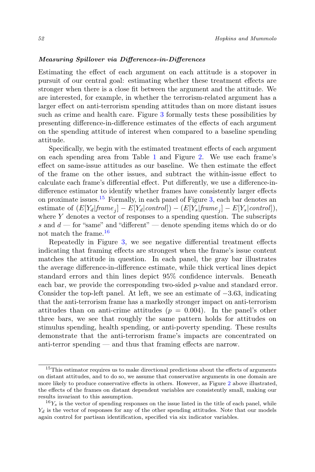#### Measuring Spillover via Differences-in-Differences

Estimating the effect of each argument on each attitude is a stopover in pursuit of our central goal: estimating whether these treatment effects are stronger when there is a close fit between the argument and the attitude. We are interested, for example, in whether the terrorism-related argument has a larger effect on anti-terrorism spending attitudes than on more distant issues such as crime and health care. Figure [3](#page-16-0) formally tests these possibilities by presenting difference-in-difference estimates of the effects of each argument on the spending attitude of interest when compared to a baseline spending attitude.

Specifically, we begin with the estimated treatment effects of each argument on each spending area from Table [1](#page-13-0) and Figure [2.](#page-12-0) We use each frame's effect on same-issue attitudes as our baseline. We then estimate the effect of the frame on the other issues, and subtract the within-issue effect to calculate each frame's differential effect. Put differently, we use a difference-indifference estimator to identify whether frames have consistently larger effects on proximate issues.[15](#page-15-0) Formally, in each panel of Figure [3,](#page-16-0) each bar denotes an estimate of  $(E[Y_d | frame_j] - E[Y_d | control]) - (E[Y_s | frame_j] - E[Y_s | control]),$ where  $Y$  denotes a vector of responses to a spending question. The subscripts s and  $d$  — for "same" and "different" — denote spending items which do or do not match the frame.<sup>[16](#page-15-1)</sup>

Repeatedly in Figure [3,](#page-16-0) we see negative differential treatment effects indicating that framing effects are strongest when the frame's issue content matches the attitude in question. In each panel, the gray bar illustrates the average difference-in-difference estimate, while thick vertical lines depict standard errors and thin lines depict 95% confidence intervals. Beneath each bar, we provide the corresponding two-sided  $p$ -value and standard error. Consider the top-left panel. At left, we see an estimate of −3.63, indicating that the anti-terrorism frame has a markedly stronger impact on anti-terrorism attitudes than on anti-crime attitudes  $(p = 0.004)$ . In the panel's other three bars, we see that roughly the same pattern holds for attitudes on stimulus spending, health spending, or anti-poverty spending. These results demonstrate that the anti-terrorism frame's impacts are concentrated on anti-terror spending — and thus that framing effects are narrow.

<span id="page-15-0"></span><sup>&</sup>lt;sup>15</sup>This estimator requires us to make directional predictions about the effects of arguments on distant attitudes, and to do so, we assume that conservative arguments in one domain are more likely to produce conservative effects in others. However, as Figure [2](#page-12-0) above illustrated, the effects of the frames on distant dependent variables are consistently small, making our results invariant to this assumption.

<span id="page-15-1"></span> $^{16}Y_s$  is the vector of spending responses on the issue listed in the title of each panel, while  $Y_d$  is the vector of responses for any of the other spending attitudes. Note that our models again control for partisan identification, specified via six indicator variables.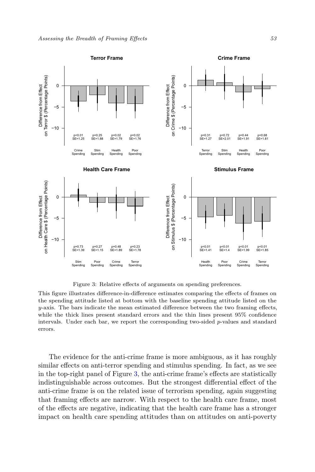<span id="page-16-0"></span>

Figure 3: Relative effects of arguments on spending preferences.

This figure illustrates difference-in-difference estimates comparing the effects of frames on the spending attitude listed at bottom with the baseline spending attitude listed on the  $y$ -axis. The bars indicate the mean estimated difference between the two framing effects, while the thick lines present standard errors and the thin lines present 95% confidence intervals. Under each bar, we report the corresponding two-sided p-values and standard errors.

The evidence for the anti-crime frame is more ambiguous, as it has roughly similar effects on anti-terror spending and stimulus spending. In fact, as we see in the top-right panel of Figure [3,](#page-16-0) the anti-crime frame's effects are statistically indistinguishable across outcomes. But the strongest differential effect of the anti-crime frame is on the related issue of terrorism spending, again suggesting that framing effects are narrow. With respect to the health care frame, most of the effects are negative, indicating that the health care frame has a stronger impact on health care spending attitudes than on attitudes on anti-poverty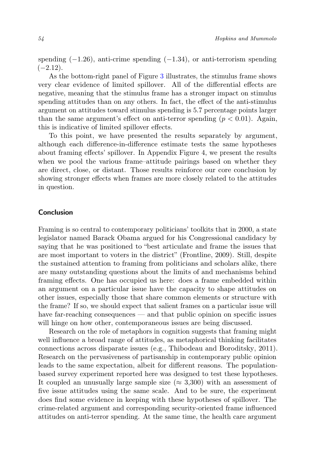spending  $(-1.26)$ , anti-crime spending  $(-1.34)$ , or anti-terrorism spending  $(-2.12)$ .

As the bottom-right panel of Figure [3](#page-16-0) illustrates, the stimulus frame shows very clear evidence of limited spillover. All of the differential effects are negative, meaning that the stimulus frame has a stronger impact on stimulus spending attitudes than on any others. In fact, the effect of the anti-stimulus argument on attitudes toward stimulus spending is 5.7 percentage points larger than the same argument's effect on anti-terror spending  $(p < 0.01)$ . Again, this is indicative of limited spillover effects.

To this point, we have presented the results separately by argument, although each difference-in-difference estimate tests the same hypotheses about framing effects' spillover. In Appendix Figure 4, we present the results when we pool the various frame–attitude pairings based on whether they are direct, close, or distant. Those results reinforce our core conclusion by showing stronger effects when frames are more closely related to the attitudes in question.

### Conclusion

Framing is so central to contemporary politicians' toolkits that in 2000, a state legislator named Barack Obama argued for his Congressional candidacy by saying that he was positioned to "best articulate and frame the issues that are most important to voters in the district" (Frontline, 2009). Still, despite the sustained attention to framing from politicians and scholars alike, there are many outstanding questions about the limits of and mechanisms behind framing effects. One has occupied us here: does a frame embedded within an argument on a particular issue have the capacity to shape attitudes on other issues, especially those that share common elements or structure with the frame? If so, we should expect that salient frames on a particular issue will have far-reaching consequences — and that public opinion on specific issues will hinge on how other, contemporaneous issues are being discussed.

Research on the role of metaphors in cognition suggests that framing might well influence a broad range of attitudes, as metaphorical thinking facilitates connections across disparate issues (e.g., Thibodeau and Boroditsky, 2011). Research on the pervasiveness of partisanship in contemporary public opinion leads to the same expectation, albeit for different reasons. The populationbased survey experiment reported here was designed to test these hypotheses. It coupled an unusually large sample size ( $\approx 3,300$ ) with an assessment of five issue attitudes using the same scale. And to be sure, the experiment does find some evidence in keeping with these hypotheses of spillover. The crime-related argument and corresponding security-oriented frame influenced attitudes on anti-terror spending. At the same time, the health care argument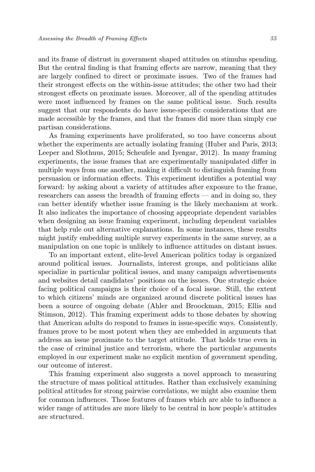and its frame of distrust in government shaped attitudes on stimulus spending. But the central finding is that framing effects are narrow, meaning that they are largely confined to direct or proximate issues. Two of the frames had their strongest effects on the within-issue attitudes; the other two had their strongest effects on proximate issues. Moreover, all of the spending attitudes were most influenced by frames on the same political issue. Such results suggest that our respondents do have issue-specific considerations that are made accessible by the frames, and that the frames did more than simply cue partisan considerations.

As framing experiments have proliferated, so too have concerns about whether the experiments are actually isolating framing (Huber and Paris, 2013; Leeper and Slothuus, 2015; Scheufele and Iyengar, 2012). In many framing experiments, the issue frames that are experimentally manipulated differ in multiple ways from one another, making it difficult to distinguish framing from persuasion or information effects. This experiment identifies a potential way forward: by asking about a variety of attitudes after exposure to the frame, researchers can assess the breadth of framing effects — and in doing so, they can better identify whether issue framing is the likely mechanism at work. It also indicates the importance of choosing appropriate dependent variables when designing an issue framing experiment, including dependent variables that help rule out alternative explanations. In some instances, these results might justify embedding multiple survey experiments in the same survey, as a manipulation on one topic is unlikely to influence attitudes on distant issues.

To an important extent, elite-level American politics today is organized around political issues. Journalists, interest groups, and politicians alike specialize in particular political issues, and many campaign advertisements and websites detail candidates' positions on the issues. One strategic choice facing political campaigns is their choice of a focal issue. Still, the extent to which citizens' minds are organized around discrete political issues has been a source of ongoing debate (Ahler and Broockman, 2015; Ellis and Stimson, 2012). This framing experiment adds to those debates by showing that American adults do respond to frames in issue-specific ways. Consistently, frames prove to be most potent when they are embedded in arguments that address an issue proximate to the target attitude. That holds true even in the case of criminal justice and terrorism, where the particular arguments employed in our experiment make no explicit mention of government spending, our outcome of interest.

This framing experiment also suggests a novel approach to measuring the structure of mass political attitudes. Rather than exclusively examining political attitudes for strong pairwise correlations, we might also examine them for common influences. Those features of frames which are able to influence a wider range of attitudes are more likely to be central in how people's attitudes are structured.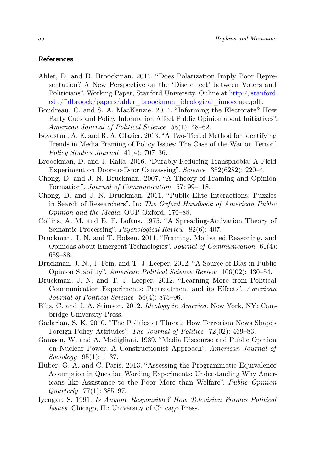### References

- Ahler, D. and D. Broockman. 2015. "Does Polarization Imply Poor Representation? A New Perspective on the 'Disconnect' between Voters and Politicians". Working Paper, Stanford University. Online at [http://stanford.](http://stanford.edu/~dbroock/papers/ahler_broockman_ideological_innocence.pdf) [edu/~dbroock/papers/ahler\\_broockman\\_ideological\\_innocence.pdf.](http://stanford.edu/~dbroock/papers/ahler_broockman_ideological_innocence.pdf)
- Boudreau, C. and S. A. MacKenzie. 2014. "Informing the Electorate? How Party Cues and Policy Information Affect Public Opinion about Initiatives". American Journal of Political Science 58(1): 48–62.
- Boydstun, A. E. and R. A. Glazier. 2013. "A Two-Tiered Method for Identifying Trends in Media Framing of Policy Issues: The Case of the War on Terror". Policy Studies Journal 41(4): 707–36.
- Broockman, D. and J. Kalla. 2016. "Durably Reducing Transphobia: A Field Experiment on Door-to-Door Canvassing". Science 352(6282): 220–4.
- Chong, D. and J. N. Druckman. 2007. "A Theory of Framing and Opinion Formation". Journal of Communication 57: 99–118.
- Chong, D. and J. N. Druckman. 2011. "Public-Elite Interactions: Puzzles in Search of Researchers". In: The Oxford Handbook of American Public Opinion and the Media. OUP Oxford, 170–88.
- Collins, A. M. and E. F. Loftus. 1975. "A Spreading-Activation Theory of Semantic Processing". Psychological Review 82(6): 407.
- Druckman, J. N. and T. Bolsen. 2011. "Framing, Motivated Reasoning, and Opinions about Emergent Technologies". Journal of Communication 61(4): 659–88.
- Druckman, J. N., J. Fein, and T. J. Leeper. 2012. "A Source of Bias in Public Opinion Stability". American Political Science Review 106(02): 430–54.
- Druckman, J. N. and T. J. Leeper. 2012. "Learning More from Political Communication Experiments: Pretreatment and its Effects". American Journal of Political Science 56(4): 875–96.
- Ellis, C. and J. A. Stimson. 2012. Ideology in America. New York, NY: Cambridge University Press.
- Gadarian, S. K. 2010. "The Politics of Threat: How Terrorism News Shapes Foreign Policy Attitudes". The Journal of Politics 72(02): 469–83.
- Gamson, W. and A. Modigliani. 1989. "Media Discourse and Public Opinion on Nuclear Power: A Constructionist Approach". American Journal of Sociology 95(1): 1–37.
- Huber, G. A. and C. Paris. 2013. "Assessing the Programmatic Equivalence Assumption in Question Wording Experiments: Understanding Why Americans like Assistance to the Poor More than Welfare". Public Opinion Quarterly 77(1): 385–97.
- Iyengar, S. 1991. Is Anyone Responsible? How Television Frames Political Issues. Chicago, IL: University of Chicago Press.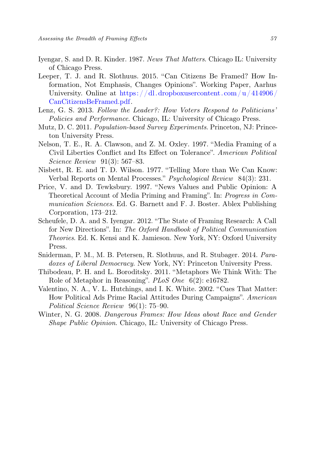- <span id="page-20-0"></span>Iyengar, S. and D. R. Kinder. 1987. News That Matters. Chicago IL: University of Chicago Press.
- Leeper, T. J. and R. Slothuus. 2015. "Can Citizens Be Framed? How Information, Not Emphasis, Changes Opinions". Working Paper, Aarhus University. Online at https://dl.dropboxusercontent.com/u/414906/ [CanCitizensBeFramed.pdf.](https://dl.dropboxusercontent.com/u/414906/CanCitizensBeFramed.pdf)
- Lenz, G. S. 2013. Follow the Leader?: How Voters Respond to Politicians' Policies and Performance. Chicago, IL: University of Chicago Press.
- Mutz, D. C. 2011. Population-based Survey Experiments. Princeton, NJ: Princeton University Press.
- Nelson, T. E., R. A. Clawson, and Z. M. Oxley. 1997. "Media Framing of a Civil Liberties Conflict and Its Effect on Tolerance". American Political Science Review 91(3): 567–83.
- Nisbett, R. E. and T. D. Wilson. 1977. "Telling More than We Can Know: Verbal Reports on Mental Processes." Psychological Review 84(3): 231.
- Price, V. and D. Tewksbury. 1997. "News Values and Public Opinion: A Theoretical Account of Media Priming and Framing". In: Progress in Communication Sciences. Ed. G. Barnett and F. J. Boster. Ablex Publishing Corporation, 173–212.
- Scheufele, D. A. and S. Iyengar. 2012. "The State of Framing Research: A Call for New Directions". In: The Oxford Handbook of Political Communication Theories. Ed. K. Kensi and K. Jamieson. New York, NY: Oxford University Press.
- Sniderman, P. M., M. B. Petersen, R. Slothuus, and R. Stubager. 2014. Paradoxes of Liberal Democracy. New York, NY: Princeton University Press.
- Thibodeau, P. H. and L. Boroditsky. 2011. "Metaphors We Think With: The Role of Metaphor in Reasoning". PLoS One 6(2): e16782.
- Valentino, N. A., V. L. Hutchings, and I. K. White. 2002. "Cues That Matter: How Political Ads Prime Racial Attitudes During Campaigns". American Political Science Review 96(1): 75–90.
- Winter, N. G. 2008. Dangerous Frames: How Ideas about Race and Gender Shape Public Opinion. Chicago, IL: University of Chicago Press.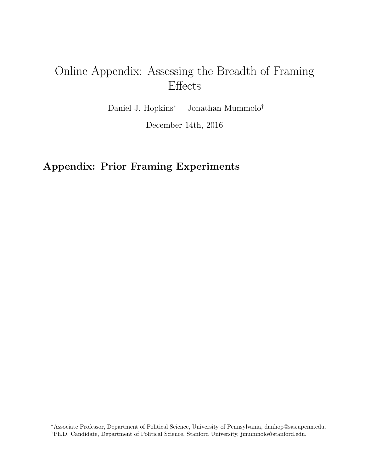# Online Appendix: Assessing the Breadth of Framing Effects

Daniel J. Hopkins<sup>∗</sup> Jonathan Mummolo†

December 14th, 2016

# Appendix: Prior Framing Experiments

<sup>∗</sup>Associate Professor, Department of Political Science, University of Pennsylvania, [danhop@sas.upenn.edu.](mailto:danhop@sas.upenn.edu) †Ph.D. Candidate, Department of Political Science, Stanford University, [jmummolo@stanford.edu.](mailto:jmummolo@stanford.edu)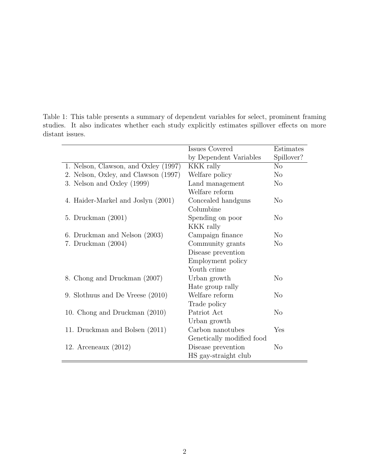Table 1: This table presents a summary of dependent variables for select, prominent framing studies. It also indicates whether each study explicitly estimates spillover effects on more distant issues.

|                                      | <b>Issues Covered</b>     | Estimates      |
|--------------------------------------|---------------------------|----------------|
|                                      | by Dependent Variables    | Spillover?     |
| 1. Nelson, Clawson, and Oxley (1997) | KKK rally                 | $\rm No$       |
| 2. Nelson, Oxley, and Clawson (1997) | Welfare policy            | $\rm No$       |
| 3. Nelson and Oxley (1999)           | Land management           | No             |
|                                      | Welfare reform            |                |
| 4. Haider-Markel and Joslyn (2001)   | Concealed handguns        | No             |
|                                      | Columbine                 |                |
| 5. Druckman (2001)                   | Spending on poor          | No             |
|                                      | KKK rally                 |                |
| 6. Druckman and Nelson (2003)        | Campaign finance          | N <sub>o</sub> |
| 7. Druckman (2004)                   | Community grants          | $\rm No$       |
|                                      | Disease prevention        |                |
|                                      | Employment policy         |                |
|                                      | Youth crime               |                |
| 8. Chong and Druckman (2007)         | Urban growth              | N <sub>o</sub> |
|                                      | Hate group rally          |                |
| 9. Slothuus and De Vreese $(2010)$   | Welfare reform            | N <sub>o</sub> |
|                                      | Trade policy              |                |
| 10. Chong and Druckman (2010)        | Patriot Act               | $\rm No$       |
|                                      | Urban growth              |                |
| 11. Druckman and Bolsen (2011)       | Carbon nanotubes          | Yes            |
|                                      | Genetically modified food |                |
| 12. Arceneaux $(2012)$               | Disease prevention        | N <sub>o</sub> |
|                                      | HS gay-straight club      |                |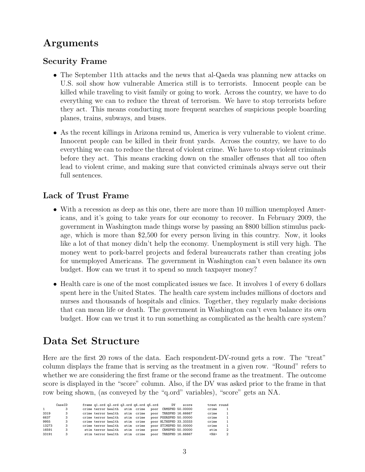# Arguments

## Security Frame

- The September 11th attacks and the news that al-Qaeda was planning new attacks on U.S. soil show how vulnerable America still is to terrorists. Innocent people can be killed while traveling to visit family or going to work. Across the country, we have to do everything we can to reduce the threat of terrorism. We have to stop terrorists before they act. This means conducting more frequent searches of suspicious people boarding planes, trains, subways, and buses.
- As the recent killings in Arizona remind us, America is very vulnerable to violent crime. Innocent people can be killed in their front yards. Across the country, we have to do everything we can to reduce the threat of violent crime. We have to stop violent criminals before they act. This means cracking down on the smaller offenses that all too often lead to violent crime, and making sure that convicted criminals always serve out their full sentences.

## Lack of Trust Frame

- With a recession as deep as this one, there are more than 10 million unemployed Americans, and it's going to take years for our economy to recover. In February 2009, the government in Washington made things worse by passing an \$800 billion stimulus package, which is more than \$2,500 for every person living in this country. Now, it looks like a lot of that money didn't help the economy. Unemployment is still very high. The money went to pork-barrel projects and federal bureaucrats rather than creating jobs for unemployed Americans. The government in Washington can't even balance its own budget. How can we trust it to spend so much taxpayer money?
- Health care is one of the most complicated issues we face. It involves 1 of every 6 dollars spent here in the United States. The health care system includes millions of doctors and nurses and thousands of hospitals and clinics. Together, they regularly make decisions that can mean life or death. The government in Washington can't even balance its own budget. How can we trust it to run something as complicated as the health care system?

# Data Set Structure

Here are the first 20 rows of the data. Each respondent-DV-round gets a row. The "treat" column displays the frame that is serving as the treatment in a given row. "Round" refers to whether we are considering the first frame or the second frame as the treatment. The outcome score is displayed in the "score" column. Also, if the DV was asked prior to the frame in that row being shown, (as conveyed by the "q.ord" variables), "score" gets an NA.

|       | CaseID |                     |                     |            | frame q1.ord q2.ord q3.ord q4.ord q5.ord DV | score |            | treat round  |
|-------|--------|---------------------|---------------------|------------|---------------------------------------------|-------|------------|--------------|
| 1     | 3      |                     | crime terror health | stim crime | poor CRMSPND 50.00000                       |       | crime      | 1            |
| 3319  | 3      |                     | crime terror health | stim crime | poor TRRSPND 16.66667                       |       | crime      | 1            |
| 6637  | 3      |                     | crime terror health | stim crime | poor POORSPND 50.00000                      |       | crime      | 1            |
| 9955  | 3      |                     | crime terror health | stim crime | poor HLTHSPND 33.33333                      |       | crime      | $\mathbf{1}$ |
| 13273 | 3      | crime terror health |                     | stim crime | poor STIMSPND 50.00000                      |       | crime      | 1            |
| 16591 | 3      |                     | stim terror health  | stim crime | poor CRMSPND 50.00000                       |       | stim       | $\mathbf{2}$ |
| 33191 | 3      | stim terror health  |                     | stim crime | poor TRRSPND 16.66667                       |       | $<$ NA $>$ | $\mathbf{2}$ |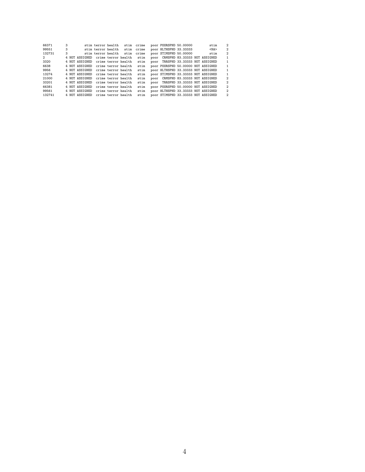| 66371       | 3 |                                    | stim terror health |                     |                         | stim crime | poor POORSPND 50.00000              |  | stim       | 2 |
|-------------|---|------------------------------------|--------------------|---------------------|-------------------------|------------|-------------------------------------|--|------------|---|
| 99551       | 3 |                                    | stim terror health |                     |                         | stim crime | poor HLTHSPND 33.33333              |  | $<$ NA $>$ | 2 |
| 132731      | 3 |                                    |                    |                     | stim terror health stim | crime      | poor STIMSPND 50.00000              |  | stim       | 2 |
| $2^{\circ}$ |   | 4 NOT ASSIGNED crime terror health |                    |                     |                         | stim       | poor CRMSPND 83.33333 NOT ASSIGNED  |  |            | 1 |
| 3320        |   | 4 NOT ASSIGNED crime terror health |                    |                     |                         | stim       | poor TRRSPND 33.33333 NOT ASSIGNED  |  |            | 1 |
| 6638        |   | 4 NOT ASSIGNED crime terror health |                    |                     |                         | stim       | poor POORSPND 50.00000 NOT ASSIGNED |  |            |   |
| 9956        |   | 4 NOT ASSIGNED crime terror health |                    |                     |                         | stim       | poor HLTHSPND 33.33333 NOT ASSIGNED |  |            |   |
| 13274       |   | 4 NOT ASSIGNED crime terror health |                    |                     |                         | stim       | poor STIMSPND 33.33333 NOT ASSIGNED |  |            |   |
| 21000       |   | 4 NOT ASSIGNED crime terror health |                    |                     |                         | stim       | poor CRMSPND 83.33333 NOT ASSIGNED  |  |            | 2 |
| 33201       |   | 4 NOT ASSIGNED                     |                    |                     | crime terror health     | stim       | poor TRRSPND 33.33333 NOT ASSIGNED  |  |            | 2 |
| 66381       |   | 4 NOT ASSIGNED                     |                    |                     | crime terror health     | stim       | poor POORSPND 50.00000 NOT ASSIGNED |  |            | 2 |
| 99561       |   | 4 NOT ASSIGNED crime terror health |                    |                     |                         | stim       | poor HLTHSPND 33.33333 NOT ASSIGNED |  |            | 2 |
| 132741      |   | 4 NOT ASSIGNED                     |                    | crime terror health |                         | stim       | poor STIMSPND 33.33333 NOT ASSIGNED |  |            | 2 |
|             |   |                                    |                    |                     |                         |            |                                     |  |            |   |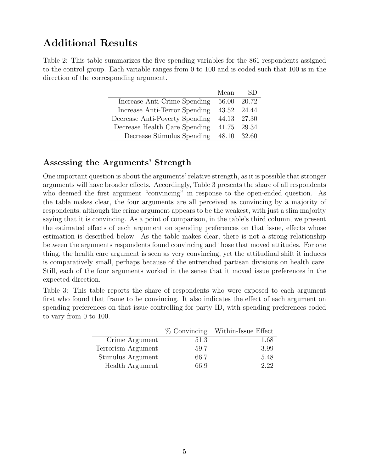# Additional Results

Table 2: This table summarizes the five spending variables for the 861 respondents assigned to the control group. Each variable ranges from 0 to 100 and is coded such that 100 is in the direction of the corresponding argument.

|                                        | Mean        | SD.         |
|----------------------------------------|-------------|-------------|
| Increase Anti-Crime Spending           |             | 56.00 20.72 |
| Increase Anti-Terror Spending          | 43.52 24.44 |             |
| Decrease Anti-Poverty Spending         |             | 44.13 27.30 |
| Decrease Health Care Spending          |             | 41.75 29.34 |
| Decrease Stimulus Spending 48.10 32.60 |             |             |

### Assessing the Arguments' Strength

One important question is about the arguments' relative strength, as it is possible that stronger arguments will have broader effects. Accordingly, Table [3](#page-25-0) presents the share of all respondents who deemed the first argument "convincing" in response to the open-ended question. As the table makes clear, the four arguments are all perceived as convincing by a majority of respondents, although the crime argument appears to be the weakest, with just a slim majority saying that it is convincing. As a point of comparison, in the table's third column, we present the estimated effects of each argument on spending preferences on that issue, effects whose estimation is described below. As the table makes clear, there is not a strong relationship between the arguments respondents found convincing and those that moved attitudes. For one thing, the health care argument is seen as very convincing, yet the attitudinal shift it induces is comparatively small, perhaps because of the entrenched partisan divisions on health care. Still, each of the four arguments worked in the sense that it moved issue preferences in the expected direction.

<span id="page-25-0"></span>Table 3: This table reports the share of respondents who were exposed to each argument first who found that frame to be convincing. It also indicates the effect of each argument on spending preferences on that issue controlling for party ID, with spending preferences coded to vary from 0 to 100.

|                    |      | % Convincing Within-Issue Effect |
|--------------------|------|----------------------------------|
| Crime Argument     | 51.3 | 1.68                             |
| Terrorism Argument | 59.7 | 3.99                             |
| Stimulus Argument  | 66.7 | 5.48                             |
| Health Argument    | 66 9 | 2.22                             |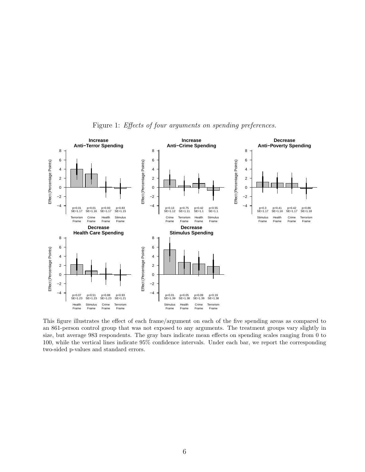

Figure 1: Effects of four arguments on spending preferences.

This figure illustrates the effect of each frame/argument on each of the five spending areas as compared to an 861-person control group that was not exposed to any arguments. The treatment groups vary slightly in size, but average 983 respondents. The gray bars indicate mean effects on spending scales ranging from 0 to 100, while the vertical lines indicate 95% confidence intervals. Under each bar, we report the corresponding two-sided p-values and standard errors.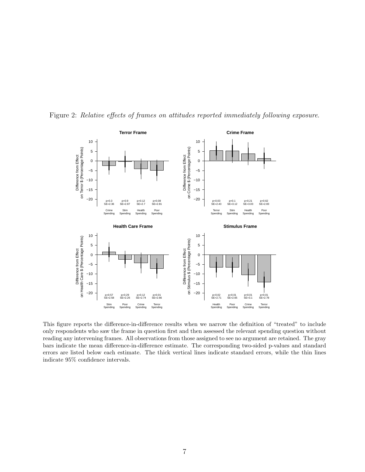

<span id="page-27-0"></span>Figure 2: Relative effects of frames on attitudes reported immediately following exposure.

This figure reports the difference-in-difference results when we narrow the definition of "treated" to include only respondents who saw the frame in question first and then assessed the relevant spending question without reading any intervening frames. All observations from those assigned to see no argument are retained. The gray bars indicate the mean difference-in-difference estimate. The corresponding two-sided p-values and standard errors are listed below each estimate. The thick vertical lines indicate standard errors, while the thin lines indicate 95% confidence intervals.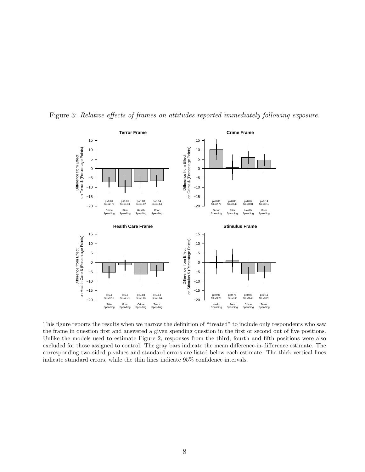

Figure 3: Relative effects of frames on attitudes reported immediately following exposure.

This figure reports the results when we narrow the definition of "treated" to include only respondents who saw the frame in question first and answered a given spending question in the first or second out of five positions. Unlike the models used to estimate Figure [2,](#page-27-0) responses from the third, fourth and fifth positions were also excluded for those assigned to control. The gray bars indicate the mean difference-in-difference estimate. The corresponding two-sided p-values and standard errors are listed below each estimate. The thick vertical lines indicate standard errors, while the thin lines indicate 95% confidence intervals.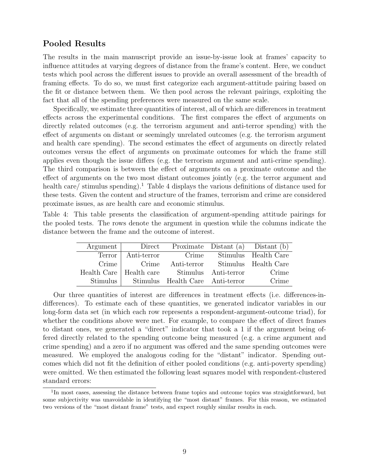### Pooled Results

The results in the main manuscript provide an issue-by-issue look at frames' capacity to influence attitudes at varying degrees of distance from the frame's content. Here, we conduct tests which pool across the different issues to provide an overall assessment of the breadth of framing effects. To do so, we must first categorize each argument-attitude pairing based on the fit or distance between them. We then pool across the relevant pairings, exploiting the fact that all of the spending preferences were measured on the same scale.

Specifically, we estimate three quantities of interest, all of which are differences in treatment effects across the experimental conditions. The first compares the effect of arguments on directly related outcomes (e.g. the terrorism argument and anti-terror spending) with the effect of arguments on distant or seemingly unrelated outcomes (e.g. the terrorism argument and health care spending). The second estimates the effect of arguments on directly related outcomes versus the effect of arguments on proximate outcomes for which the frame still applies even though the issue differs (e.g. the terrorism argument and anti-crime spending). The third comparison is between the effect of arguments on a proximate outcome and the effect of arguments on the two most distant outcomes jointly (e.g. the terror argument and health care/ stimulus spending).<sup>[1](#page-29-0)</sup> Table [4](#page-29-1) displays the various definitions of distance used for these tests. Given the content and structure of the frames, terrorism and crime are considered proximate issues, as are health care and economic stimulus.

<span id="page-29-1"></span>Table 4: This table presents the classification of argument-spending attitude pairings for the pooled tests. The rows denote the argument in question while the columns indicate the distance between the frame and the outcome of interest.

| Argument | Direct                    |                         |                      | Proximate Distant (a) Distant (b) |
|----------|---------------------------|-------------------------|----------------------|-----------------------------------|
|          | Terror   Anti-terror      | <b>Crime</b>            |                      | Stimulus Health Care              |
| Crime    | Crime                     | Anti-terror             |                      | Stimulus Health Care              |
|          | Health Care   Health care |                         | Stimulus Anti-terror | Crime                             |
| Stimulus | Stimulus                  | Health Care Anti-terror |                      | Crime                             |

Our three quantities of interest are differences in treatment effects (i.e. differences-indifferences). To estimate each of these quantities, we generated indicator variables in our long-form data set (in which each row represents a respondent-argument-outcome triad), for whether the conditions above were met. For example, to compare the effect of direct frames to distant ones, we generated a "direct" indicator that took a 1 if the argument being offered directly related to the spending outcome being measured (e.g. a crime argument and crime spending) and a zero if no argument was offered and the same spending outcomes were measured. We employed the analogous coding for the "distant" indicator. Spending outcomes which did not fit the definition of either pooled conditions (e.g. anti-poverty spending) were omitted. We then estimated the following least squares model with respondent-clustered standard errors:

<span id="page-29-0"></span><sup>&</sup>lt;sup>1</sup>In most cases, assessing the distance between frame topics and outcome topics was straightforward, but some subjectivity was unavoidable in identifying the "most distant" frames. For this reason, we estimated two versions of the "most distant frame" tests, and expect roughly similar results in each.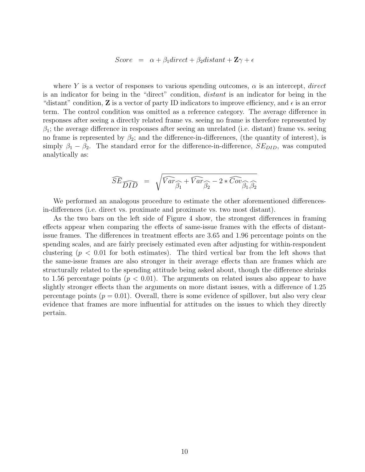$$
Score = \alpha + \beta_1 direct + \beta_2 distant + \mathbf{Z}\gamma + \epsilon
$$

where Y is a vector of responses to various spending outcomes,  $\alpha$  is an intercept, *direct* is an indicator for being in the "direct" condition, distant is an indicator for being in the "distant" condition, **Z** is a vector of party ID indicators to improve efficiency, and  $\epsilon$  is an error term. The control condition was omitted as a reference category. The average difference in responses after seeing a directly related frame vs. seeing no frame is therefore represented by  $\beta_1$ ; the average difference in responses after seeing an unrelated (i.e. distant) frame vs. seeing no frame is represented by  $\beta_2$ ; and the difference-in-differences, (the quantity of interest), is simply  $\beta_1 - \beta_2$ . The standard error for the difference-in-difference,  $SE_{DID}$ , was computed analytically as:

$$
\widehat{SE}_{\widehat{DID}} = \sqrt{\widehat{Var}_{\widehat{\beta}_1} + \widehat{Var}_{\widehat{\beta}_2} - 2 * \widehat{Cov}_{\widehat{\beta}_1, \widehat{\beta}_2}}
$$

 $SE_{\widehat{DID}} = \sqrt{Var_{\widehat{\beta}_1} + Var_{\widehat{\beta}_2} - 2*Cov_{\widehat{\beta}_1, \widehat{\beta}_2}}$ <br>We performed an analogous procedure to estimate the other aforementioned differencesin-differences (i.e. direct vs. proximate and proximate vs. two most distant).

As the two bars on the left side of Figure [4](#page-31-0) show, the strongest differences in framing effects appear when comparing the effects of same-issue frames with the effects of distantissue frames. The differences in treatment effects are 3.65 and 1.96 percentage points on the spending scales, and are fairly precisely estimated even after adjusting for within-respondent clustering  $(p < 0.01$  for both estimates). The third vertical bar from the left shows that the same-issue frames are also stronger in their average effects than are frames which are structurally related to the spending attitude being asked about, though the difference shrinks to 1.56 percentage points ( $p < 0.01$ ). The arguments on related issues also appear to have slightly stronger effects than the arguments on more distant issues, with a difference of 1.25 percentage points  $(p = 0.01)$ . Overall, there is some evidence of spillover, but also very clear evidence that frames are more influential for attitudes on the issues to which they directly pertain.